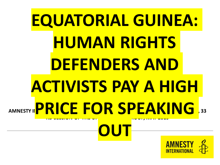# AMNESTY II **KING ENDERNATIONAL SUBMISSION FOR THE UNIVERS** , 33 **RD SESSION OF THE UPR WORKING GROUP, MAY 2019 EQUATORIAL GUINEA: HUMAN RIGHTS DEFENDERS AND ACTIVISTS PAY A HIGH PRICE FOR SPEAKING OUT**

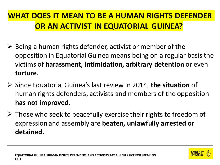#### **WHAT DOES IT MEAN TO BE A HUMAN RIGHTS DEFENDER OR AN ACTIVIST IN EQUATORIAL GUINEA?**

- $\triangleright$  Being a human rights defender, activist or member of the opposition in Equatorial Guinea means being on a regular basis the victims of **harassment, intimidation, arbitrary detention** or even **torture**.
- ➢ Since Equatorial Guinea's last review in 2014, **the situation** of human rights defenders, activists and members of the opposition **has not improved.**
- $\triangleright$  Those who seek to peacefully exercise their rights to freedom of expression and assembly are **beaten, unlawfully arrested or detained.**

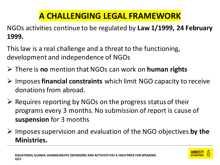### **A CHALLENGING LEGAL FRAMEWORK**

NGOs activities continue to be regulated by **Law 1/1999, 24 February 1999.** 

This law is a real challenge and a threat to the functioning, development and independence of NGOs

- ➢ There is **no** mention that NGOs can work on **human rights**
- ➢ Imposes **financial constraints** which limit NGO capacity to receive donations from abroad.
- $\triangleright$  Requires reporting by NGOs on the progress status of their programs every 3 months. No submission of report is cause of **suspension** for 3 months
- ➢ Imposes supervision and evaluation of the NGO objectives **by the Ministries.**

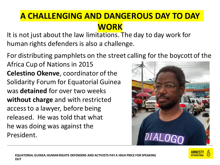It is not just about the law limitations. The day to day work for human rights defenders is also a challenge.

For distributing pamphlets on the street calling for the boycott of the

Africa Cup of Nations in 2015 **Celestino Okenve**, coordinator of the Solidarity Forum for Equatorial Guinea was **detained** for over two weeks **without charge** and with restricted access to a lawyer, before being released. He was told that what he was doing was against the President.



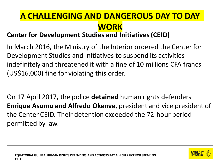#### **Center for Development Studies and Initiatives (CEID)**

In March 2016, the Ministry of the Interior ordered the Center for Development Studies and Initiatives to suspend its activities indefinitely and threatened it with a fine of 10 millions CFA francs (US\$16,000) fine for violating this order.

On 17 April 2017, the police **detained** human rights defenders **Enrique Asumu and Alfredo Okenve**, president and vice president of the Center CEID. Their detention exceeded the 72-hour period permitted by law.

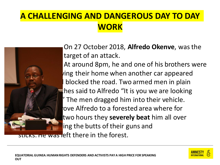

On 27 October 2018, **Alfredo Okenve**, was the target of an attack. At around 8pm, he and one of his brothers were  $\nu$ ing their home when another car appeared blocked the road. Two armed men in plain thes said to Alfredo "It is you we are looking"  $'$  The men dragged him into their vehicle. rove Alfredo to a forested area where for two hours they **severely beat** him all over ling the butts of their guns and

LKS. He was left there in the forest.

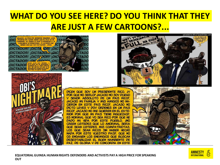### **WHAT DO YOU SEE HERE? DO YOU THINK THAT THEY ARE JUST A FEW CARTOONS?...**







DICEN QUE SOY UN PRESIDENTE RICO, ¿Y POR QUÉ NO SERLO? ¿ACASO NO SOY DUEÑO SEÑOR ABSOLUTO DE  $_{\text{ON}}$ **PAIS RICO?** MIS AMIGOS NO NA-¿ACASO MI FAMILIA Y CIERON EN ESTE PAÍS RICO?. ¿ACASO NO DICTO LEYES Y DOY ORDENES EN UN PAIS RICO?, ¿ACASO NO ME QUIEREN EN EL EXTE RIOR POR QUE MI PAÍS TIENE RIQUEZAS? ES NORMAL QUE YO SEA RICO POR QUE HE DADO MI VIDA POR ESTE PUEBLO. ¿NO CREEN LISTEDES QUE LO ANORMAL SERIA QUE SEAN USTEDES. MIS COMPATRIOTAS. LOS QUE SEAN RICOS SIN HABER HECHO NADA POR ESTE VUESTRO PAIS? QUE NO OS ENGAÑEN LOS ENEMIGOS QUE BUSCAN DESESTABILIZAR EL BUEN HAMBIENTE DE PAZ. DE GLORIA Y DE CONCORDIA EN ESTE

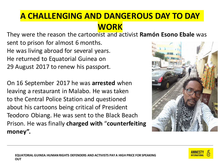They were the reason the cartoonist and activist **Ramón Esono Ebale** was sent to prison for almost 6 months. He was living abroad for several years. He returned to Equatorial Guinea on 29 August 2017 to renew his passport.

On 16 September 2017 he was **arrested** when leaving a restaurant in Malabo. He was taken to the Central Police Station and questioned about his cartoons being critical of President Teodoro Obiang. He was sent to the Black Beach Prison. He was finally **charged with** "**counterfeiting money".** 



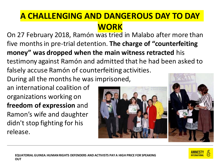On 27 February 2018, Ramón was tried in Malabo after more than five months in pre-trial detention. **The charge of "counterfeiting money" was dropped when the main witness retracted** his testimony against Ramón and admitted that he had been asked to falsely accuse Ramón of counterfeiting activities.

During all the months he was imprisoned,

an international coalition of organizations working on **freedom of expression** and Ramon's wife and daughter didn't stop fighting for his release.





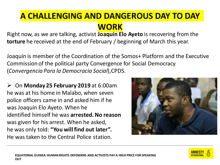Right now, as we are talking, activist **Joaquín Elo Ayeto** is recovering from the **torture** he received at the end of February / beginning of March this year.

Joaquín is member of the Coordination of the Somos+ Platform and the Executive Commission of the political party Convergence for Social Democracy (*Convergencia Para la Democracia Social*),CPDS.

➢ On **Monday 25 February 2019** at 6:00am he was at his home in Malabo, when seven police officers came in and asked him if he was Joaquín Elo Ayeto. When he identified himself he was **arrested. No reason** was given for his arrest. When he asked, he was only told: **"You will find out later".**  He was taken to the Central Police station.



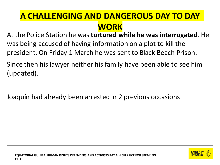At the Police Station he was **tortured while he was interrogated**. He was being accused of having information on a plot to kill the president. On Friday 1 March he was sent to Black Beach Prison.

Since then his lawyer neither his family have been able to see him (updated).

Joaquín had already been arrested in 2 previous occasions

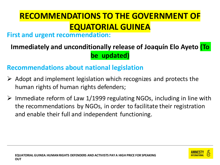# **RECOMMENDATIONS TO THE GOVERNMENT OF EQUATORIAL GUINEA**

#### **First and urgent recommendation:**

#### **Immediately and unconditionally release of Joaquín Elo Ayeto (To be updated)**

#### **Recommendations about national legislation**

- $\triangleright$  Adopt and implement legislation which recognizes and protects the human rights of human rights defenders;
- $\triangleright$  Immediate reform of Law 1/1999 regulating NGOs, including in line with the recommendations by NGOs, in order to facilitate their registration and enable their full and independent functioning.